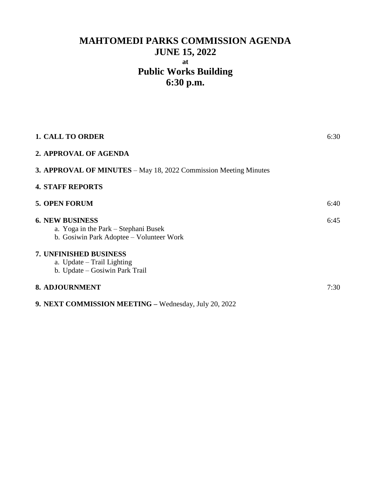# **MAHTOMEDI PARKS COMMISSION AGENDA JUNE 15, 2022 at Public Works Building 6:30 p.m.**

| <b>1. CALL TO ORDER</b>                                                                                    | 6:30 |
|------------------------------------------------------------------------------------------------------------|------|
| 2. APPROVAL OF AGENDA                                                                                      |      |
| <b>3. APPROVAL OF MINUTES</b> – May 18, 2022 Commission Meeting Minutes                                    |      |
| <b>4. STAFF REPORTS</b>                                                                                    |      |
| <b>5. OPEN FORUM</b>                                                                                       | 6:40 |
| <b>6. NEW BUSINESS</b><br>a. Yoga in the Park – Stephani Busek<br>b. Gosiwin Park Adoptee – Volunteer Work | 6:45 |
| <b>7. UNFINISHED BUSINESS</b><br>a. Update – Trail Lighting<br>b. Update – Gosiwin Park Trail              |      |
| <b>8. ADJOURNMENT</b>                                                                                      | 7:30 |
| 9. NEXT COMMISSION MEETING - Wednesday, July 20, 2022                                                      |      |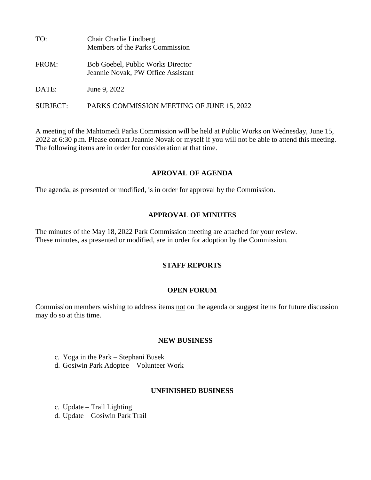| TO:      | Chair Charlie Lindberg<br>Members of the Parks Commission                      |
|----------|--------------------------------------------------------------------------------|
| FROM:    | <b>Bob Goebel, Public Works Director</b><br>Jeannie Novak, PW Office Assistant |
| DATE:    | June 9, 2022                                                                   |
| SUBJECT: | PARKS COMMISSION MEETING OF JUNE 15, 2022                                      |

A meeting of the Mahtomedi Parks Commission will be held at Public Works on Wednesday, June 15, 2022 at 6:30 p.m. Please contact Jeannie Novak or myself if you will not be able to attend this meeting. The following items are in order for consideration at that time.

#### **APROVAL OF AGENDA**

The agenda, as presented or modified, is in order for approval by the Commission.

# **APPROVAL OF MINUTES**

The minutes of the May 18, 2022 Park Commission meeting are attached for your review. These minutes, as presented or modified, are in order for adoption by the Commission.

# **STAFF REPORTS**

# **OPEN FORUM**

Commission members wishing to address items not on the agenda or suggest items for future discussion may do so at this time.

#### **NEW BUSINESS**

- c. Yoga in the Park Stephani Busek
- d. Gosiwin Park Adoptee Volunteer Work

# **UNFINISHED BUSINESS**

c. Update – Trail Lighting d. Update – Gosiwin Park Trail